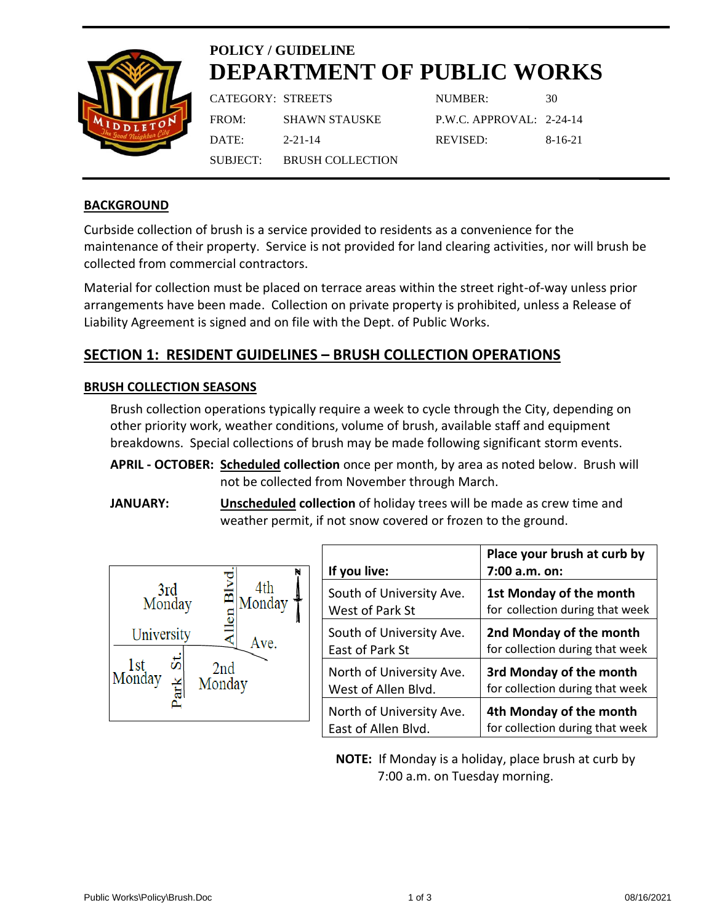

# **POLICY / GUIDELINE DEPARTMENT OF PUBLIC WORKS**

| CATEGORY: STREETS |                           |  |
|-------------------|---------------------------|--|
| FROM:             | <b>SHAWN STAUSKE</b>      |  |
| DATE:             | $2 - 21 - 14$             |  |
|                   | SUBJECT: BRUSH COLLECTION |  |
|                   |                           |  |

NUMBER: 30 P.W.C. APPROVAL: 2-24-14 REVISED: 8-16-21

# **BACKGROUND**

Curbside collection of brush is a service provided to residents as a convenience for the maintenance of their property. Service is not provided for land clearing activities, nor will brush be collected from commercial contractors.

Material for collection must be placed on terrace areas within the street right-of-way unless prior arrangements have been made. Collection on private property is prohibited, unless a Release of Liability Agreement is signed and on file with the Dept. of Public Works.

# **SECTION 1: RESIDENT GUIDELINES – BRUSH COLLECTION OPERATIONS**

# **BRUSH COLLECTION SEASONS**

Brush collection operations typically require a week to cycle through the City, depending on other priority work, weather conditions, volume of brush, available staff and equipment breakdowns. Special collections of brush may be made following significant storm events.

**APRIL - OCTOBER: Scheduled collection** once per month, by area as noted below. Brush will not be collected from November through March.

**JANUARY: Unscheduled collection** of holiday trees will be made as crew time and weather permit, if not snow covered or frozen to the ground.



| If you live:             | Place your brush at curb by<br>7:00 a.m. on: |
|--------------------------|----------------------------------------------|
| South of University Ave. | 1st Monday of the month                      |
| West of Park St          | for collection during that week              |
| South of University Ave. | 2nd Monday of the month                      |
| East of Park St          | for collection during that week              |
| North of University Ave. | 3rd Monday of the month                      |
| West of Allen Blvd.      | for collection during that week              |
| North of University Ave. | 4th Monday of the month                      |
| East of Allen Blvd.      | for collection during that week              |

**NOTE:** If Monday is a holiday, place brush at curb by 7:00 a.m. on Tuesday morning.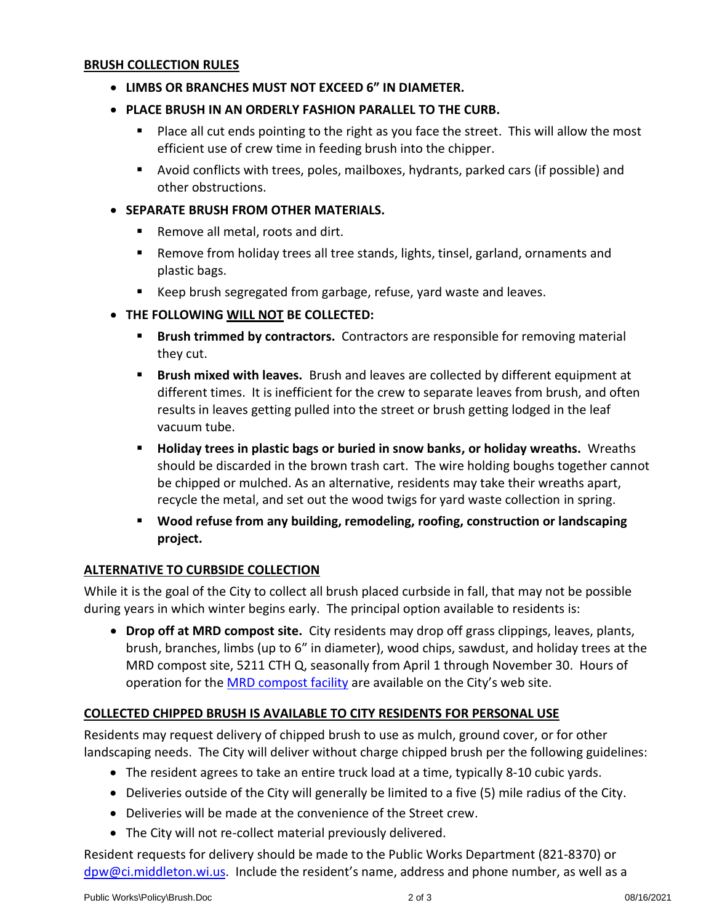## **BRUSH COLLECTION RULES**

- **LIMBS OR BRANCHES MUST NOT EXCEED 6" IN DIAMETER.**
- **PLACE BRUSH IN AN ORDERLY FASHION PARALLEL TO THE CURB.**
	- Place all cut ends pointing to the right as you face the street. This will allow the most efficient use of crew time in feeding brush into the chipper.
	- Avoid conflicts with trees, poles, mailboxes, hydrants, parked cars (if possible) and other obstructions.

#### • **SEPARATE BRUSH FROM OTHER MATERIALS.**

- Remove all metal, roots and dirt.
- Remove from holiday trees all tree stands, lights, tinsel, garland, ornaments and plastic bags.
- Keep brush segregated from garbage, refuse, yard waste and leaves.
- **THE FOLLOWING WILL NOT BE COLLECTED:**
	- **Example 3 Brush trimmed by contractors.** Contractors are responsible for removing material they cut.
	- **Brush mixed with leaves.** Brush and leaves are collected by different equipment at different times. It is inefficient for the crew to separate leaves from brush, and often results in leaves getting pulled into the street or brush getting lodged in the leaf vacuum tube.
	- **E** Holiday trees in plastic bags or buried in snow banks, or holiday wreaths. Wreaths should be discarded in the brown trash cart. The wire holding boughs together cannot be chipped or mulched. As an alternative, residents may take their wreaths apart, recycle the metal, and set out the wood twigs for yard waste collection in spring.
	- **Wood refuse from any building, remodeling, roofing, construction or landscaping project.**

#### **ALTERNATIVE TO CURBSIDE COLLECTION**

While it is the goal of the City to collect all brush placed curbside in fall, that may not be possible during years in which winter begins early. The principal option available to residents is:

• **Drop off at MRD compost site.** City residents may drop off grass clippings, leaves, plants, brush, branches, limbs (up to 6" in diameter), wood chips, sawdust, and holiday trees at the MRD compost site, 5211 CTH Q, seasonally from April 1 through November 30. Hours of operation for the [MRD compost facility](http://www.ci.middleton.wi.us/index.aspx?nid=358) are available on the City's web site.

# **COLLECTED CHIPPED BRUSH IS AVAILABLE TO CITY RESIDENTS FOR PERSONAL USE**

Residents may request delivery of chipped brush to use as mulch, ground cover, or for other landscaping needs. The City will deliver without charge chipped brush per the following guidelines:

- The resident agrees to take an entire truck load at a time, typically 8-10 cubic yards.
- Deliveries outside of the City will generally be limited to a five (5) mile radius of the City.
- Deliveries will be made at the convenience of the Street crew.
- The City will not re-collect material previously delivered.

Resident requests for delivery should be made to the Public Works Department (821-8370) or [dpw@ci.middleton.wi.us.](mailto:dpw@ci.middleton.wi.us) Include the resident's name, address and phone number, as well as a